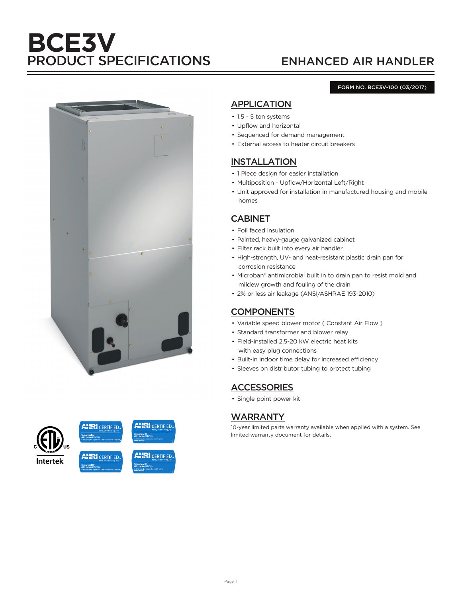# **BCE3V** PRODUCT SPECIFICATIONS ENHANCED AIR HANDLER

#### FORM NO. BCE3V-100 (03/2017)





## APPLICATION

- 1.5 5 ton systems
- Upflow and horizontal
- Sequenced for demand management
- External access to heater circuit breakers

### INSTALLATION

- 1 Piece design for easier installation
- Multiposition Upflow/Horizontal Left/Right
- Unit approved for installation in manufactured housing and mobile homes

### CABINET

- Foil faced insulation
- Painted, heavy-gauge galvanized cabinet
- Filter rack built into every air handler
- High-strength, UV- and heat-resistant plastic drain pan for corrosion resistance
- Microban® antimicrobial built in to drain pan to resist mold and mildew growth and fouling of the drain
- 2% or less air leakage (ANSI/ASHRAE 193-2010)

### **COMPONENTS**

- Variable speed blower motor ( Constant Air Flow )
- Standard transformer and blower relay
- Field-installed 2.5-20 kW electric heat kits with easy plug connections
- Built-in indoor time delay for increased efficiency
- Sleeves on distributor tubing to protect tubing

### **ACCESSORIES**

• Single point power kit

### WARRANTY

10-year limited parts warranty available when applied with a system. See limited warranty document for details.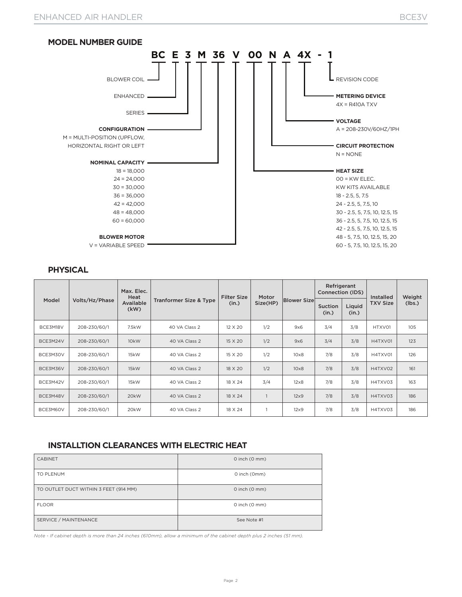

### **PHYSICAL**

| Model    |                | Max. Elec.<br>Heat |                                   | <b>Filter Size</b> | Motor    |                    | Refrigerant<br>Connection (IDS) |                 | <b>Installed</b> | Weight |
|----------|----------------|--------------------|-----------------------------------|--------------------|----------|--------------------|---------------------------------|-----------------|------------------|--------|
|          | Volts/Hz/Phase | Available<br>(kW)  | <b>Tranformer Size &amp; Type</b> | (in.)              | Size(HP) | <b>Blower Size</b> | <b>Suction</b><br>(in.)         | Liquid<br>(in.) | <b>TXV Size</b>  | (lbs.) |
| BCE3M18V | 208-230/60/1   | 7.5kW              | 40 VA Class 2                     | 12 X 20            | 1/2      | 9x6                | 3/4                             | 3/8             | HTXV01           | 105    |
| BCE3M24V | 208-230/60/1   | 10 <sub>k</sub> W  | 40 VA Class 2                     | 15 X 20            | 1/2      | 9x6                | 3/4                             | 3/8             | H4TXV01          | 123    |
| BCE3M30V | 208-230/60/1   | 15kW               | 40 VA Class 2                     | 15 X 20            | 1/2      | $10\times8$        | 7/8                             | 3/8             | H4TXV01          | 126    |
| BCE3M36V | 208-230/60/1   | 15kW               | 40 VA Class 2                     | 18 X 20            | 1/2      | $10\times8$        | 7/8                             | 3/8             | H4TXV02          | 161    |
| BCE3M42V | 208-230/60/1   | 15kW               | 40 VA Class 2                     | 18 X 24            | 3/4      | $12\times8$        | 7/8                             | 3/8             | H4TXV03          | 163    |
| BCE3M48V | 208-230/60/1   | 20kW               | 40 VA Class 2                     | 18 X 24            |          | $12\times9$        | 7/8                             | 3/8             | H4TXV03          | 186    |
| BCE3M60V | 208-230/60/1   | 20kW               | 40 VA Class 2                     | 18 X 24            |          | $12\times9$        | 7/8                             | 3/8             | H4TXV03          | 186    |

### **INSTALLTION CLEARANCES WITH ELECTRIC HEAT**

| <b>CABINET</b>                        | $0$ inch $(0$ mm $)$      |
|---------------------------------------|---------------------------|
| TO PLENUM                             | O inch (Omm)              |
| TO OUTLET DUCT WITHIN 3 FEET (914 MM) | $0$ inch $(0$ mm $)$      |
| <b>FLOOR</b>                          | $0$ inch $(0 \text{ mm})$ |
| SERVICE / MAINTENANCE                 | See Note #1               |

*Note - If cabinet depth is more than 24 inches (610mm), allow a minimum of the cabinet depth plus 2 inches (51 mm).*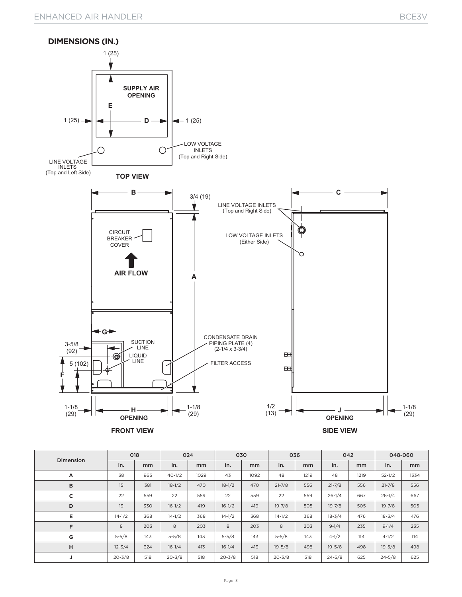

|           | 018        |     | 024        |      | 030        |      | 036        |      | 042        |      | 048-060    |      |
|-----------|------------|-----|------------|------|------------|------|------------|------|------------|------|------------|------|
| Dimension | in.        | mm  | in.        | mm   | in.        | mm   | in.        | mm   | in.        | mm   | in.        | mm   |
| А         | 38         | 965 | $40 - 1/2$ | 1029 | 43         | 1092 | 48         | 1219 | 48         | 1219 | $52 - 1/2$ | 1334 |
| B         | 15         | 381 | $18 - 1/2$ | 470  | $18 - 1/2$ | 470  | $21 - 7/8$ | 556  | $21 - 7/8$ | 556  | $21 - 7/8$ | 556  |
| c         | 22         | 559 | 22         | 559  | 22         | 559  | 22         | 559  | $26 - 1/4$ | 667  | $26 - 1/4$ | 667  |
| D         | 13         | 330 | $16 - 1/2$ | 419  | $16-1/2$   | 419  | $19 - 7/8$ | 505  | $19 - 7/8$ | 505  | $19 - 7/8$ | 505  |
| Е         | $14 - 1/2$ | 368 | $14 - 1/2$ | 368  | $14 - 1/2$ | 368  | $14 - 1/2$ | 368  | $18 - 3/4$ | 476  | $18 - 3/4$ | 476  |
| F         | 8          | 203 | 8          | 203  | 8          | 203  | 8          | 203  | $9 - 1/4$  | 235  | $9 - 1/4$  | 235  |
| G         | $5 - 5/8$  | 143 | $5 - 5/8$  | 143  | $5 - 5/8$  | 143  | $5 - 5/8$  | 143  | $4 - 1/2$  | 114  | $4 - 1/2$  | 114  |
| н         | $12 - 3/4$ | 324 | $16 - 1/4$ | 413  | $16 - 1/4$ | 413  | $19 - 5/8$ | 498  | $19 - 5/8$ | 498  | $19 - 5/8$ | 498  |
| J         | $20 - 3/8$ | 518 | $20 - 3/8$ | 518  | $20 - 3/8$ | 518  | $20 - 3/8$ | 518  | $24 - 5/8$ | 625  | $24 - 5/8$ | 625  |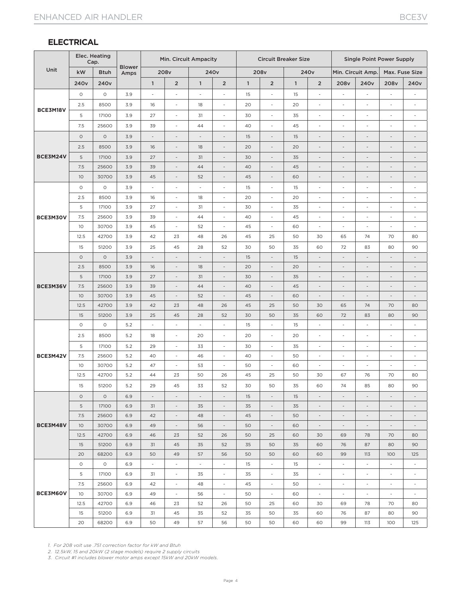### **ELECTRICAL**

|          | Elec. Heating    | Cap.             |                       |                          | Min. Circuit Ampacity    |                          |                              |                         | <b>Circuit Breaker Size</b> |              |                          |                          | <b>Single Point Power Supply</b> |                          |                          |
|----------|------------------|------------------|-----------------------|--------------------------|--------------------------|--------------------------|------------------------------|-------------------------|-----------------------------|--------------|--------------------------|--------------------------|----------------------------------|--------------------------|--------------------------|
| Unit     | kW               | <b>Btuh</b>      | <b>Blower</b><br>Amps |                          | 208v                     |                          | 240 <sub>v</sub>             |                         | 208 <sub>v</sub>            |              | 240 <sub>v</sub>         |                          | Min. Circuit Amp.                |                          | Max. Fuse Size           |
|          | 240 <sub>v</sub> | 240 <sub>v</sub> |                       | $\mathbf{1}$             | $\overline{2}$           | $\overline{1}$           | $\overline{2}$               | $\overline{\mathbf{1}}$ | $\overline{2}$              | $\mathbf{1}$ | $\overline{2}$           | 208v                     | 240 <sub>v</sub>                 | 208v                     | 240 <sub>v</sub>         |
|          | $\circ$          | $\circ$          | 3.9                   | $\overline{\phantom{a}}$ | $\overline{\phantom{a}}$ | Ĭ.                       | ä,                           | 15                      | $\overline{\phantom{a}}$    | 15           | $\overline{\phantom{a}}$ |                          | ÷,                               |                          | $\overline{\phantom{a}}$ |
|          | 2.5              | 8500             | 3.9                   | 16                       | $\overline{\phantom{a}}$ | 18                       | $\overline{\phantom{a}}$     | 20                      | $\overline{\phantom{a}}$    | 20           | $\overline{\phantom{a}}$ |                          | $\overline{\phantom{a}}$         | ٠                        | $\overline{\phantom{a}}$ |
| BCE3M18V | 5                | 17100            | 3.9                   | 27                       | $\overline{\phantom{a}}$ | 31                       | $\overline{\phantom{a}}$     | 30                      | $\overline{\phantom{a}}$    | 35           | $\overline{\phantom{a}}$ | $\overline{\phantom{a}}$ | $\overline{\phantom{a}}$         | $\overline{\phantom{a}}$ | $\overline{\phantom{m}}$ |
|          | 7.5              | 25600            | 3.9                   | 39                       | $\overline{\phantom{a}}$ | 44                       | $\overline{\phantom{a}}$     | 40                      | ÷,                          | 45           | ÷,                       | ÷,                       | ÷,                               | $\overline{\phantom{a}}$ | ÷,                       |
|          | $\circ$          | $\circ$          | 3.9                   |                          | $\overline{\phantom{a}}$ | $\overline{a}$           | $\bar{ }$                    | 15                      | $\overline{\phantom{a}}$    | 15           | $\overline{\phantom{a}}$ |                          | $\overline{a}$                   | $\overline{a}$           | $\overline{a}$           |
|          | 2.5              | 8500             | 3.9                   | 16                       | $\overline{\phantom{a}}$ | 18                       | $\qquad \qquad \blacksquare$ | 20                      | $\overline{\phantom{a}}$    | 20           | $\overline{\phantom{a}}$ | $\overline{\phantom{a}}$ | $\qquad \qquad \blacksquare$     | $\overline{a}$           | $\overline{a}$           |
| BCE3M24V | 5                | 17100            | 3.9                   | 27                       | $\overline{\phantom{a}}$ | 31                       | $\overline{\phantom{a}}$     | 30                      | $\overline{\phantom{a}}$    | 35           | $\overline{\phantom{a}}$ | $\overline{\phantom{a}}$ | $\overline{\phantom{a}}$         | $\overline{a}$           | $\overline{\phantom{a}}$ |
|          | 7.5              | 25600            | 3.9                   | 39                       | $\overline{\phantom{a}}$ | 44                       | $\overline{\phantom{a}}$     | 40                      | $\overline{\phantom{a}}$    | 45           | $\overline{\phantom{a}}$ | $\overline{\phantom{a}}$ | $\overline{\phantom{a}}$         | $\overline{a}$           | $\overline{a}$           |
|          | 10 <sup>°</sup>  | 30700            | 3.9                   | 45                       | $\overline{\phantom{a}}$ | 52                       | $\overline{\phantom{a}}$     | 45                      | $\overline{\phantom{a}}$    | 60           | $\overline{\phantom{a}}$ |                          | $\overline{a}$                   | $\overline{a}$           | $\overline{a}$           |
|          | $\circ$          | $\circ$          | 3.9                   | $\overline{\phantom{a}}$ | $\overline{\phantom{a}}$ | $\overline{a}$           | $\overline{\phantom{a}}$     | 15                      | ÷,                          | 15           | $\overline{\phantom{a}}$ | $\overline{\phantom{a}}$ | $\overline{\phantom{a}}$         | $\frac{1}{2}$            | $\overline{\phantom{a}}$ |
|          | 2.5              | 8500             | 3.9                   | 16                       | $\overline{\phantom{a}}$ | 18                       | $\overline{\phantom{a}}$     | 20                      | $\overline{\phantom{a}}$    | 20           | $\overline{\phantom{a}}$ | $\overline{\phantom{a}}$ | $\overline{\phantom{a}}$         | $\overline{a}$           | $\overline{\phantom{a}}$ |
|          | 5                | 17100            | 3.9                   | 27                       | $\overline{\phantom{a}}$ | 31                       | $\overline{\phantom{a}}$     | 30                      | $\overline{\phantom{a}}$    | 35           | $\overline{\phantom{a}}$ | ٠                        | $\overline{\phantom{a}}$         | L,                       | $\overline{\phantom{a}}$ |
| BCE3M30V | 7.5              | 25600            | 3.9                   | 39                       | $\mathcal{L}$            | 44                       | $\sim$                       | 40                      | $\sim$                      | 45           | $\overline{\phantom{a}}$ | $\sim$                   | $\overline{\phantom{a}}$         | $\overline{\phantom{a}}$ | $\sim$                   |
|          | 10               | 30700            | 3.9                   | 45                       | $\overline{\phantom{a}}$ | 52                       | $\overline{\phantom{a}}$     | 45                      | $\overline{\phantom{a}}$    | 60           | $\overline{\phantom{a}}$ | $\overline{\phantom{a}}$ | ä,                               | $\overline{a}$           | $\overline{\phantom{a}}$ |
|          | 12.5             | 42700            | 3.9                   | 42                       | 23                       | 48                       | 26                           | 45                      | 25                          | 50           | 30                       | 65                       | 74                               | 70                       | 80                       |
|          | 15               | 51200            | 3.9                   | 25                       | 45                       | 28                       | 52                           | 30                      | 50                          | 35           | 60                       | 72                       | 83                               | 80                       | 90                       |
|          | $\circ$          | $\circ$          | 3.9                   | $\overline{\phantom{a}}$ | $\overline{\phantom{a}}$ | $\overline{\phantom{a}}$ | $\overline{\phantom{a}}$     | 15                      | $\overline{\phantom{a}}$    | 15           | $\overline{\phantom{a}}$ | $\overline{\phantom{a}}$ | $\overline{\phantom{a}}$         | $\overline{a}$           | $\overline{\phantom{a}}$ |
|          | 2.5              | 8500             | 3.9                   | 16                       | $\overline{\phantom{a}}$ | 18                       | $\overline{\phantom{a}}$     | 20                      | $\overline{\phantom{a}}$    | 20           | $\overline{\phantom{a}}$ | $\overline{\phantom{a}}$ | $\overline{\phantom{a}}$         | $\overline{\phantom{a}}$ | $\overline{\phantom{a}}$ |
|          | 5                | 17100            | 3.9                   | 27                       | $\overline{\phantom{a}}$ | 31                       | $\overline{\phantom{a}}$     | 30                      | $\overline{\phantom{a}}$    | 35           | $\overline{\phantom{a}}$ | $\overline{\phantom{a}}$ | $\overline{a}$                   | $\overline{a}$           | $\overline{\phantom{a}}$ |
| BCE3M36V | 7.5              | 25600            | 3.9                   | 39                       |                          | 44                       | $\overline{a}$               | 40                      | $\overline{a}$              | 45           |                          |                          |                                  |                          | $\overline{a}$           |
|          | 10               | 30700            | 3.9                   | 45                       | $\overline{\phantom{a}}$ | 52                       | $\overline{\phantom{a}}$     | 45                      | $\overline{\phantom{a}}$    | 60           | $\overline{\phantom{a}}$ | $\overline{\phantom{a}}$ | $\overline{\phantom{a}}$         | $\overline{\phantom{0}}$ | $\overline{\phantom{a}}$ |
|          | 12.5             | 42700<br>51200   | 3.9                   | 42<br>25                 | 23<br>45                 | 48<br>28                 | 26<br>52                     | 45<br>30                | 25<br>50                    | 50<br>35     | 30<br>60                 | 65<br>72                 | 74<br>83                         | 70<br>80                 | 80<br>90                 |
|          | 15<br>$\circ$    | $\circ$          | 3.9<br>5.2            | $\overline{\phantom{a}}$ | $\overline{\phantom{a}}$ | $\overline{\phantom{a}}$ | $\overline{\phantom{a}}$     | 15                      | $\overline{\phantom{a}}$    | 15           | $\overline{\phantom{a}}$ | ä,                       | ÷,                               | L,                       | $\overline{\phantom{a}}$ |
|          | 2.5              | 8500             | 5.2                   | 18                       | $\overline{\phantom{a}}$ | 20                       | $\overline{\phantom{a}}$     | 20                      | $\overline{\phantom{a}}$    | 20           | $\overline{\phantom{a}}$ |                          | $\overline{\phantom{a}}$         | i.                       | $\overline{\phantom{a}}$ |
|          | 5                | 17100            | 5.2                   | 29                       | $\overline{\phantom{a}}$ | 33                       | $\overline{\phantom{a}}$     | 30                      | $\overline{\phantom{a}}$    | 35           | $\overline{\phantom{a}}$ | $\overline{\phantom{a}}$ | $\overline{\phantom{a}}$         | $\overline{\phantom{a}}$ | $\overline{\phantom{a}}$ |
| BCE3M42V | 7.5              | 25600            | 5.2                   | 40                       | $\overline{\phantom{a}}$ | 46                       | $\overline{\phantom{a}}$     | 40                      | $\overline{\phantom{a}}$    | 50           | $\overline{\phantom{a}}$ | ٠                        | $\overline{\phantom{a}}$         | $\overline{\phantom{a}}$ | $\overline{\phantom{a}}$ |
|          | 10               | 30700            | 5.2                   | 47                       | $\overline{\phantom{a}}$ | 53                       | $\overline{\phantom{a}}$     | 50                      | $\overline{\phantom{a}}$    | 60           | $\overline{\phantom{a}}$ | $\overline{\phantom{a}}$ | ÷,                               | L,                       | $\overline{\phantom{a}}$ |
|          | 12.5             | 42700            | 5.2                   | 44                       | 23                       | 50                       | 26                           | 45                      | 25                          | 50           | 30                       | 67                       | 76                               | 70                       | 80                       |
|          | 15               | 51200            | 5.2                   | 29                       | 45                       | 33                       | 52                           | 30                      | 50                          | 35           | 60                       | 74                       | 85                               | 80                       | 90                       |
|          | $\circ$          | $\circ$          | 6.9                   | $\overline{\phantom{a}}$ | $\overline{\phantom{a}}$ | $\overline{\phantom{a}}$ | $\overline{\phantom{a}}$     | 15                      | $\overline{\phantom{a}}$    | 15           | $\overline{\phantom{a}}$ | $\overline{\phantom{a}}$ | $\overline{\phantom{a}}$         | $\overline{\phantom{a}}$ | $\overline{\phantom{a}}$ |
|          | 5                | 17100            | 6.9                   | 31                       | $\overline{\phantom{a}}$ | 35                       | $\overline{\phantom{a}}$     | 35                      | $\overline{\phantom{a}}$    | 35           | $\overline{\phantom{a}}$ |                          | $\overline{\phantom{a}}$         | $\overline{\phantom{m}}$ | $\overline{\phantom{a}}$ |
|          | 7.5              | 25600            | 6.9                   | 42                       | $\overline{\phantom{a}}$ | 48                       | $\overline{\phantom{a}}$     | 45                      | $\overline{\phantom{a}}$    | 50           | $\overline{\phantom{a}}$ | $\overline{\phantom{a}}$ | $\overline{\phantom{a}}$         | $\overline{\phantom{a}}$ | $\overline{\phantom{a}}$ |
| BCE3M48V | 10 <sup>°</sup>  | 30700            | 6.9                   | 49                       | $\overline{\phantom{a}}$ | 56                       | $\overline{\phantom{a}}$     | 50                      | $\overline{\phantom{a}}$    | 60           | $\overline{\phantom{a}}$ | $\overline{\phantom{a}}$ | $\overline{\phantom{a}}$         | $\overline{\phantom{a}}$ | $\overline{\phantom{a}}$ |
|          | 12.5             | 42700            | 6.9                   | 46                       | 23                       | 52                       | 26                           | 50                      | 25                          | 60           | 30                       | 69                       | 78                               | 70                       | 80                       |
|          | 15               | 51200            | 6.9                   | 31                       | 45                       | 35                       | 52                           | 35                      | 50                          | 35           | 60                       | 76                       | 87                               | 80                       | 90                       |
|          | 20               | 68200            | 6.9                   | 50                       | 49                       | 57                       | 56                           | 50                      | 50                          | 60           | 60                       | 99                       | 113                              | 100                      | 125                      |
|          | $\circ$          | $\circ$          | 6.9                   | $\overline{\phantom{a}}$ | $\overline{\phantom{a}}$ | $\sim$                   | $\sim$                       | 15                      | $\sim$                      | 15           | $\overline{\phantom{a}}$ | $\overline{\phantom{a}}$ | $\sim$                           | $\overline{\phantom{a}}$ | $\overline{\phantom{a}}$ |
|          | 5                | 17100            | 6.9                   | 31                       | $\overline{\phantom{a}}$ | 35                       | $\overline{\phantom{a}}$     | 35                      | $\overline{\phantom{a}}$    | 35           | $\overline{\phantom{a}}$ | $\overline{\phantom{a}}$ | $\overline{\phantom{a}}$         | $\overline{\phantom{a}}$ | $\overline{\phantom{a}}$ |
|          | 7.5              | 25600            | 6.9                   | 42                       | $\overline{\phantom{a}}$ | 48                       | $\overline{\phantom{a}}$     | 45                      | $\overline{\phantom{a}}$    | 50           | $\overline{\phantom{a}}$ | $\sim$                   | $\overline{\phantom{a}}$         | $\overline{\phantom{a}}$ | $\overline{\phantom{a}}$ |
| BCE3M60V | 10 <sup>°</sup>  | 30700            | 6.9                   | 49                       | $\overline{\phantom{a}}$ | 56                       | $\sim$                       | 50                      | $\overline{\phantom{a}}$    | 60           | $\overline{\phantom{a}}$ | $\sim$                   | $\sim$                           | $\overline{\phantom{a}}$ | $\overline{\phantom{a}}$ |
|          | 12.5             | 42700            | 6.9                   | 46                       | 23                       | 52                       | 26                           | 50                      | 25                          | 60           | 30                       | 69                       | 78                               | 70                       | 80                       |
|          | 15               | 51200            | 6.9                   | 31                       | 45                       | 35                       | 52                           | 35                      | 50                          | 35           | 60                       | 76                       | 87                               | 80                       | 90                       |
|          | 20               | 68200            | 6.9                   | 50                       | 49                       | 57                       | 56                           | 50                      | 50                          | 60           | 60                       | 99                       | 113                              | 100                      | 125                      |

*1. For 208 volt use .751 correction factor for kW and Btuh 2. 12.5kW, 15 and 20kW (2 stage models) require 2 supply circuits*

*3. Circuit #1 includes blower motor amps except 15kW and 20kW models.*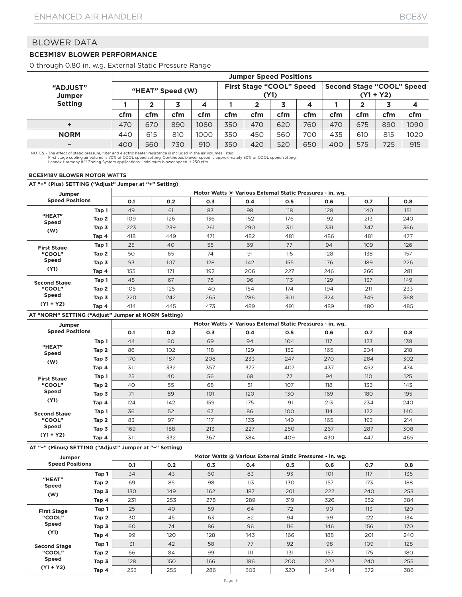### **BCE3M18V BLOWER PERFORMANCE**

0 through 0.80 in. w.g. External Static Pressure Range

|                          |     | <b>Jumper Speed Positions</b> |     |      |                                         |     |     |     |                                          |     |     |      |  |
|--------------------------|-----|-------------------------------|-----|------|-----------------------------------------|-----|-----|-----|------------------------------------------|-----|-----|------|--|
| "ADJUST"<br>Jumper       |     | "HEAT" Speed (W)              |     |      | <b>First Stage "COOL" Speed</b><br>(Y1) |     |     |     | Second Stage "COOL" Speed<br>$(Y1 + Y2)$ |     |     |      |  |
| <b>Setting</b>           |     | າ                             |     |      |                                         |     | 3   | 4   |                                          |     |     |      |  |
|                          | cfm | cfm                           | cfm | cfm  | cfm                                     | cfm | cfm | cfm | cfm                                      | cfm | cfm | cfm  |  |
|                          | 470 | 670                           | 890 | 1080 | 350                                     | 470 | 620 | 760 | 470                                      | 675 | 890 | 1090 |  |
| <b>NORM</b>              | 440 | 615                           | 810 | 1000 | 350                                     | 450 | 560 | 700 | 435                                      | 610 | 815 | 1020 |  |
| $\overline{\phantom{0}}$ | 400 | 560                           | 730 | 910  | 350                                     | 420 | 520 | 650 | 400                                      | 575 | 725 | 915  |  |

NOTES - The effect of static pressure, filter and electric heater resistance is included in the air volumes listed.<br>First stage cooling air volume is 70% of COOL speed setting. Continuous blower speed is approximately 50%

#### **BCE3M18V BLOWER MOTOR WATTS**

**AT "+" (Plus) SETTING ("Adjust" Jumper at "+" Setting)**

| Jumper                 |       |     |     |     | Motor Watts @ Various External Static Pressures - in. wg. |     |     |     |     |
|------------------------|-------|-----|-----|-----|-----------------------------------------------------------|-----|-----|-----|-----|
| <b>Speed Positions</b> |       | 0.1 | 0.2 | 0.3 | 0.4                                                       | 0.5 | 0.6 | 0.7 | 0.8 |
|                        | Tap 1 | 49  | 61  | 83  | 98                                                        | 118 | 128 | 140 | 151 |
| "HEAT"<br><b>Speed</b> | Tap 2 | 109 | 126 | 136 | 152                                                       | 176 | 192 | 213 | 240 |
| (W)                    | Tap 3 | 223 | 239 | 261 | 290                                                       | 311 | 331 | 347 | 366 |
|                        | Tap 4 | 418 | 449 | 471 | 482                                                       | 481 | 486 | 481 | 477 |
| <b>First Stage</b>     | Tap 1 | 25  | 40  | 55  | 69                                                        | 77  | 94  | 109 | 126 |
| "COOL"                 | Tap 2 | 50  | 65  | 74  | 91                                                        | 115 | 128 | 138 | 157 |
| <b>Speed</b>           | Tap 3 | 93  | 107 | 128 | 142                                                       | 155 | 176 | 189 | 226 |
| (Y1)                   | Tap 4 | 155 | 171 | 192 | 206                                                       | 227 | 246 | 266 | 281 |
| <b>Second Stage</b>    | Tap 1 | 48  | 67  | 78  | 96                                                        | 113 | 129 | 137 | 149 |
| "COOL"                 | Tap 2 | 105 | 125 | 140 | 154                                                       | 174 | 194 | 211 | 233 |
| <b>Speed</b>           | Tap 3 | 220 | 242 | 265 | 286                                                       | 301 | 324 | 349 | 368 |
| $(Y1 + Y2)$            | Tap 4 | 414 | 445 | 473 | 489                                                       | 491 | 489 | 480 | 485 |

**AT "NORM" SETTING ("Adjust" Jumper at NORM Setting)**

| Jumper                 |       | Motor Watts @ Various External Static Pressures - in. wg. |     |     |     |     |     |     |     |  |  |  |  |
|------------------------|-------|-----------------------------------------------------------|-----|-----|-----|-----|-----|-----|-----|--|--|--|--|
| <b>Speed Positions</b> |       | 0.1                                                       | 0.2 | O.3 | 0.4 | 0.5 | 0.6 | 0.7 | 0.8 |  |  |  |  |
|                        | Tap 1 | 44                                                        | 60  | 69  | 94  | 104 | 117 | 123 | 139 |  |  |  |  |
| "HEAT"<br><b>Speed</b> | Tap 2 | 86                                                        | 102 | 118 | 129 | 152 | 165 | 204 | 218 |  |  |  |  |
| (W)                    | Tap 3 | 170                                                       | 187 | 208 | 233 | 247 | 270 | 284 | 302 |  |  |  |  |
| Tap 4                  |       | 311                                                       | 332 | 357 | 377 | 407 | 437 | 452 | 474 |  |  |  |  |
| <b>First Stage</b>     | Tap 1 | 25                                                        | 40  | 56  | 68  | 77  | 94  | 110 | 125 |  |  |  |  |
| "COOL"                 | Tap 2 | 40                                                        | 55  | 68  | 81  | 107 | 118 | 133 | 143 |  |  |  |  |
| <b>Speed</b>           | Tap 3 | 71                                                        | 89  | 101 | 120 | 130 | 169 | 180 | 195 |  |  |  |  |
| (Y1)                   | Tap 4 | 124                                                       | 142 | 159 | 175 | 191 | 213 | 234 | 240 |  |  |  |  |
| <b>Second Stage</b>    | Tap 1 | 36                                                        | 52  | 67  | 86  | 100 | 114 | 122 | 140 |  |  |  |  |
| "COOL"                 | Tap 2 | 83                                                        | 97  | 117 | 133 | 149 | 165 | 193 | 214 |  |  |  |  |
| <b>Speed</b>           | Tap 3 | 169                                                       | 188 | 213 | 227 | 250 | 267 | 287 | 308 |  |  |  |  |
| $(Y1 + Y2)$            | Tap 4 | 311                                                       | 332 | 367 | 384 | 409 | 430 | 447 | 465 |  |  |  |  |

| Jumper                 |       |     |     |     | Motor Watts @ Various External Static Pressures - in. wg. |     |     |     |     |
|------------------------|-------|-----|-----|-----|-----------------------------------------------------------|-----|-----|-----|-----|
| <b>Speed Positions</b> |       | O.1 | 0.2 | O.3 | 0.4                                                       | 0.5 | 0.6 | O.7 | 0.8 |
|                        | Tap 1 | 34  | 43  | 60  | 83                                                        | 93  | 101 | 117 | 135 |
| "HEAT"<br>Speed        | Tap 2 | 69  | 85  | 98  | 113                                                       | 130 | 157 | 173 | 188 |
| (W)                    | Tap 3 | 130 | 149 | 162 | 187                                                       | 201 | 222 | 240 | 253 |
| Tap 4                  |       | 231 | 253 | 278 | 289                                                       | 319 | 326 | 352 | 384 |
| <b>First Stage</b>     | Tap 1 | 25  | 40  | 59  | 64                                                        | 72  | 90  | 113 | 120 |
| "COOL"                 | Tap 2 | 30  | 45  | 63  | 82                                                        | 94  | 99  | 122 | 134 |
| <b>Speed</b>           | Tap 3 | 60  | 74  | 86  | 96                                                        | 116 | 146 | 156 | 170 |
| (Y1)                   | Tap 4 | 99  | 120 | 128 | 143                                                       | 166 | 188 | 201 | 240 |
| <b>Second Stage</b>    | Tap 1 | 31  | 42  | 58  | 77                                                        | 92  | 98  | 109 | 128 |
| "COOL"                 | Tap 2 | 66  | 84  | 99  | 111                                                       | 131 | 157 | 175 | 180 |
| <b>Speed</b>           | Tap 3 | 128 | 150 | 166 | 186                                                       | 200 | 222 | 240 | 255 |
| $(Y1 + Y2)$            | Tap 4 | 233 | 255 | 286 | 303                                                       | 320 | 344 | 372 | 386 |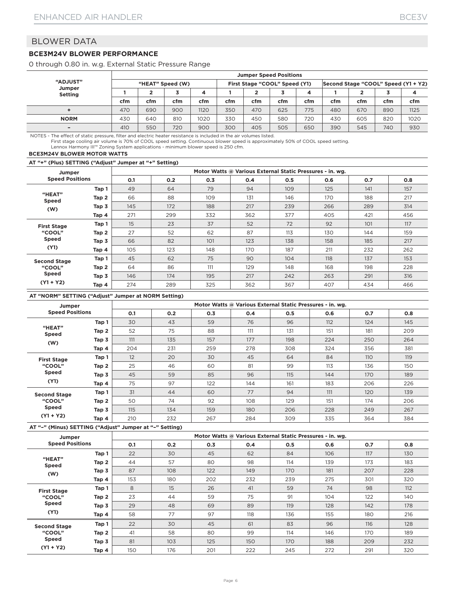#### **BCE3M24V BLOWER PERFORMANCE**

0 through 0.80 in. w.g. External Static Pressure Range

|                          |     | <b>Jumper Speed Positions</b> |     |      |     |                               |     |     |                                     |     |     |      |  |
|--------------------------|-----|-------------------------------|-----|------|-----|-------------------------------|-----|-----|-------------------------------------|-----|-----|------|--|
| <b>"ADJUST"</b>          |     | "HEAT" Speed (W)              |     |      |     | First Stage "COOL" Speed (Y1) |     |     | Second Stage "COOL" Speed (Y1 + Y2) |     |     |      |  |
| Jumper<br><b>Setting</b> |     |                               |     | 4    |     |                               |     | 4   |                                     |     |     |      |  |
|                          | cfm | cfm                           | cfm | cfm  | cfm | cfm                           | cfm | cfm | cfm                                 | cfm | cfm | cfm  |  |
|                          | 470 | 690                           | 900 | 1120 | 350 | 470                           | 625 | 775 | 480                                 | 670 | 890 | 1125 |  |
| <b>NORM</b>              | 430 | 640                           | 810 | 1020 | 330 | 450                           | 580 | 720 | 430                                 | 605 | 820 | 1020 |  |
| $\overline{\phantom{0}}$ | 410 | 550                           | 720 | 900  | 300 | 405                           | 505 | 650 | 390                                 | 545 | 740 | 930  |  |

NOTES - The effect of static pressure, filter and electric heater resistance is included in the air volumes listed.

First stage cooling air volume is 70% of COOL speed setting. Continuous blower speed is approximately 50% of COOL speed setting.<br>Lennox Harmony III™ Zoning System applications - minimum blower speed is 250 cfm.

#### **BCE3M24V BLOWER MOTOR WATTS**

**AT "+" (Plus) SETTING ("Adjust" Jumper at "+" Setting)**

| Jumper                 |       |     | Motor Watts @ Various External Static Pressures - in. wg. |     |     |     |     |     |     |  |  |  |  |  |
|------------------------|-------|-----|-----------------------------------------------------------|-----|-----|-----|-----|-----|-----|--|--|--|--|--|
| <b>Speed Positions</b> |       | O.1 | 0.2                                                       | O.3 | 0.4 | 0.5 | 0.6 | 0.7 | 0.8 |  |  |  |  |  |
|                        | Tap 1 | 49  | 64                                                        | 79  | 94  | 109 | 125 | 141 | 157 |  |  |  |  |  |
| "HEAT"<br><b>Speed</b> | Tap 2 | 66  | 88                                                        | 109 | 131 | 146 | 170 | 188 | 217 |  |  |  |  |  |
| (W)                    | Tap 3 | 145 | 172                                                       | 188 | 217 | 239 | 266 | 289 | 314 |  |  |  |  |  |
|                        | Tap 4 | 271 | 299                                                       | 332 | 362 | 377 | 405 | 421 | 456 |  |  |  |  |  |
| <b>First Stage</b>     | Tap 1 | 15  | 23                                                        | 37  | 52  | 72  | 92  | 101 | 117 |  |  |  |  |  |
| "COOL"                 | Tap 2 | 27  | 52                                                        | 62  | 87  | 113 | 130 | 144 | 159 |  |  |  |  |  |
| <b>Speed</b>           | Tap 3 | 66  | 82                                                        | 101 | 123 | 138 | 158 | 185 | 217 |  |  |  |  |  |
| (Y1)                   | Tap 4 | 105 | 123                                                       | 148 | 170 | 187 | 211 | 232 | 262 |  |  |  |  |  |
| <b>Second Stage</b>    | Tap 1 | 45  | 62                                                        | 75  | 90  | 104 | 118 | 137 | 153 |  |  |  |  |  |
| "COOL"                 | Tap 2 | 64  | 86                                                        | 111 | 129 | 148 | 168 | 198 | 228 |  |  |  |  |  |
| <b>Speed</b>           | Tap 3 | 146 | 174                                                       | 195 | 217 | 242 | 263 | 291 | 316 |  |  |  |  |  |
| $(Y1 + Y2)$            | Tap 4 | 274 | 289                                                       | 325 | 362 | 367 | 407 | 434 | 466 |  |  |  |  |  |

#### **AT "NORM" SETTING ("Adjust" Jumper at NORM Setting)**

| Jumper                 |       |     |     | Motor Watts @ Various External Static Pressures - in. wg. |     |     |     |     |     |
|------------------------|-------|-----|-----|-----------------------------------------------------------|-----|-----|-----|-----|-----|
| <b>Speed Positions</b> |       | 0.1 | 0.2 | 0.3                                                       | 0.4 | 0.5 | 0.6 | O.7 | 0.8 |
|                        | Tap 1 | 30  | 43  | 59                                                        | 76  | 96  | 112 | 124 | 145 |
| "HEAT"<br>Speed        | Tap 2 | 52  | 75  | 88                                                        | 111 | 131 | 151 | 181 | 209 |
| (W)                    | Tap 3 | 111 | 135 | 157                                                       | 177 | 198 | 224 | 250 | 264 |
|                        | Tap 4 |     | 231 | 259                                                       | 278 | 308 | 324 | 356 | 381 |
| <b>First Stage</b>     | Tap 1 | 12  | 20  | 30                                                        | 45  | 64  | 84  | 110 | 119 |
| "COOL"                 | Tap 2 | 25  | 46  | 60                                                        | 81  | 99  | 113 | 136 | 150 |
| <b>Speed</b>           | Tap 3 | 45  | 59  | 85                                                        | 96  | 115 | 144 | 170 | 189 |
| (Y1)                   | Tap 4 | 75  | 97  | 122                                                       | 144 | 161 | 183 | 206 | 226 |
| <b>Second Stage</b>    | Tap 1 | 31  | 44  | 60                                                        | 77  | 94  | 111 | 120 | 139 |
| "COOL"                 | Tap 2 | 50  | 74  | 92                                                        | 108 | 129 | 151 | 174 | 206 |
| <b>Speed</b>           | Tap 3 | 115 | 134 | 159                                                       | 180 | 206 | 228 | 249 | 267 |
| $(Y1 + Y2)$            | Tap 4 | 210 | 232 | 267                                                       | 284 | 309 | 335 | 364 | 384 |

| Jumper                 |       |     |     |     | Motor Watts @ Various External Static Pressures - in. wg. |     |     |     |     |
|------------------------|-------|-----|-----|-----|-----------------------------------------------------------|-----|-----|-----|-----|
| <b>Speed Positions</b> |       | 0.1 | 0.2 | 0.3 | 0.4                                                       | 0.5 | 0.6 | 0.7 | 0.8 |
|                        | Tap 1 | 22  | 30  | 45  | 62                                                        | 84  | 106 | 117 | 130 |
| "HEAT"<br><b>Speed</b> | Tap 2 | 44  | 57  | 80  | 98                                                        | 114 | 139 | 173 | 183 |
| (W)                    | Tap 3 | 87  | 108 | 122 | 149                                                       | 170 | 181 | 207 | 228 |
|                        | Tap 4 | 153 | 180 | 202 | 232                                                       | 239 | 275 | 301 | 320 |
| <b>First Stage</b>     | Tap 1 | 8   | 15  | 26  | 41                                                        | 59  | 74  | 98  | 112 |
| "COOL"                 | Tap 2 | 23  | 44  | 59  | 75                                                        | 91  | 104 | 122 | 140 |
| <b>Speed</b>           | Tap 3 | 29  | 48  | 69  | 89                                                        | 119 | 128 | 142 | 178 |
| (Y1)                   | Tap 4 | 58  | 77  | 97  | 118                                                       | 136 | 155 | 180 | 216 |
| <b>Second Stage</b>    | Tap 1 | 22  | 30  | 45  | 61                                                        | 83  | 96  | 116 | 128 |
| "COOL"                 | Tap 2 | 41  | 58  | 80  | 99                                                        | 114 | 146 | 170 | 189 |
| <b>Speed</b>           | Tap 3 | 81  | 103 | 125 | 150                                                       | 170 | 188 | 209 | 232 |
| $(Y1 + Y2)$            | Tap 4 | 150 | 176 | 201 | 222                                                       | 245 | 272 | 291 | 320 |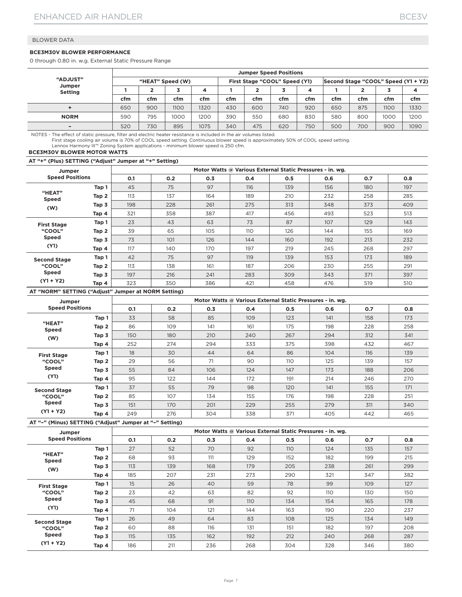#### **BCE3M30V BLOWER PERFORMANCE**

0 through 0.80 in. w.g. External Static Pressure Range

|                          |     | <b>Jumper Speed Positions</b> |                  |      |                               |     |     |     |     |                                     |      |      |  |
|--------------------------|-----|-------------------------------|------------------|------|-------------------------------|-----|-----|-----|-----|-------------------------------------|------|------|--|
| <b>"ADJUST"</b>          |     |                               | "HEAT" Speed (W) |      | First Stage "COOL" Speed (Y1) |     |     |     |     | Second Stage "COOL" Speed (Y1 + Y2) |      |      |  |
| Jumper<br><b>Setting</b> |     |                               |                  |      |                               |     |     | 4   |     |                                     |      |      |  |
|                          | cfm | cfm                           | cfm              | cfm  | cfm                           | cfm | cfm | cfm | cfm | cfm                                 | cfm  | cfm  |  |
|                          | 650 | 900                           | 1100             | 1320 | 430                           | 600 | 740 | 920 | 650 | 875                                 | 1100 | 1330 |  |
| <b>NORM</b>              | 590 | 795                           | 1000             | 1200 | 390                           | 550 | 680 | 830 | 580 | 800                                 | 1000 | 1200 |  |
|                          | 520 | 730                           | 895              | 1075 | 340                           | 475 | 620 | 750 | 500 | 700                                 | 900  | 1090 |  |

NOTES - The effect of static pressure, filter and electric heater resistance is included in the air volumes listed.

First stage cooling air volume is 70% of COOL speed setting. Continuous blower speed is approximately 50% of COOL speed setting.<br>Lennox Harmony III™ Zoning System applications - minimum blower speed is 250 cfm.

#### **BCE3M30V BLOWER MOTOR WATTS**

**AT "+" (Plus) SETTING ("Adjust" Jumper at "+" Setting)**

| Jumper                 |       |     |     | Motor Watts @ Various External Static Pressures - in. wg. |     |     |     |     |     |
|------------------------|-------|-----|-----|-----------------------------------------------------------|-----|-----|-----|-----|-----|
| <b>Speed Positions</b> |       | O.1 | 0.2 | 0.3                                                       | 0.4 | 0.5 | 0.6 | O.7 | 0.8 |
|                        | Tap 1 | 45  | 75  | 97                                                        | 116 | 139 | 156 | 180 | 197 |
| "HEAT"<br><b>Speed</b> | Tap 2 | 113 | 137 | 164                                                       | 189 | 210 | 232 | 258 | 285 |
| (W)                    | Tap 3 | 198 | 228 | 261                                                       | 275 | 313 | 348 | 373 | 409 |
|                        | Tap 4 | 321 | 358 | 387                                                       | 417 | 456 | 493 | 523 | 513 |
| <b>First Stage</b>     | Tap 1 | 23  | 43  | 63                                                        | 73  | 87  | 107 | 129 | 143 |
| "COOL"                 | Tap 2 | 39  | 65  | 105                                                       | 110 | 126 | 144 | 155 | 169 |
| <b>Speed</b>           | Tap 3 | 73  | 101 | 126                                                       | 144 | 160 | 192 | 213 | 232 |
| (Y1)                   | Tap 4 | 117 | 140 | 170                                                       | 197 | 219 | 245 | 268 | 297 |
| <b>Second Stage</b>    | Tap 1 | 42  | 75  | 97                                                        | 119 | 139 | 153 | 173 | 189 |
| "COOL"                 | Tap 2 | 113 | 138 | 161                                                       | 187 | 206 | 230 | 255 | 291 |
| <b>Speed</b>           | Tap 3 | 197 | 216 | 241                                                       | 283 | 309 | 343 | 371 | 397 |
| $(Y1 + Y2)$            | Tap 4 | 323 | 350 | 386                                                       | 421 | 458 | 476 | 519 | 510 |

#### **AT "NORM" SETTING ("Adjust" Jumper at NORM Setting)**

| Jumper                 |       |     |     | Motor Watts @ Various External Static Pressures - in. wg. |     |     |     |     |     |
|------------------------|-------|-----|-----|-----------------------------------------------------------|-----|-----|-----|-----|-----|
| <b>Speed Positions</b> |       | 0.1 | 0.2 | 0.3                                                       | 0.4 | 0.5 | 0.6 | O.7 | 0.8 |
|                        | Tap 1 | 33  | 58  | 85                                                        | 109 | 123 | 141 | 158 | 173 |
| "HEAT"<br><b>Speed</b> | Tap 2 | 86  | 109 | 141                                                       | 161 | 175 | 198 | 228 | 258 |
| (W)                    | Tap 3 | 150 | 180 | 210                                                       | 240 | 267 | 294 | 312 | 341 |
|                        | Tap 4 | 252 | 274 | 294                                                       | 333 | 375 | 398 | 432 | 467 |
| <b>First Stage</b>     | Tap 1 | 18  | 30  | 44                                                        | 64  | 86  | 104 | 116 | 139 |
| "COOL"                 | Tap 2 | 29  | 56  | 71                                                        | 90  | 110 | 125 | 139 | 157 |
| <b>Speed</b>           | Tap 3 | 55  | 84  | 106                                                       | 124 | 147 | 173 | 188 | 206 |
| (Y1)                   | Tap 4 | 95  | 122 | 144                                                       | 172 | 191 | 214 | 246 | 270 |
| <b>Second Stage</b>    | Tap 1 | 37  | 55  | 79                                                        | 98  | 120 | 141 | 155 | 171 |
| "COOL"                 | Tap 2 | 85  | 107 | 134                                                       | 155 | 176 | 198 | 228 | 251 |
| <b>Speed</b>           | Tap 3 | 151 | 170 | 201                                                       | 229 | 255 | 279 | 311 | 340 |
| $(Y1 + Y2)$            | Tap 4 | 249 | 276 | 304                                                       | 338 | 371 | 405 | 442 | 465 |

#### **AT "–" (Minus) SETTING ("Adjust" Jumper at "–" Setting)**

| Jumper                 |       |     |     |     | Motor Watts @ Various External Static Pressures - in. wg. |     |     |     |     |
|------------------------|-------|-----|-----|-----|-----------------------------------------------------------|-----|-----|-----|-----|
| <b>Speed Positions</b> |       | O.1 | 0.2 | 0.3 | 0.4                                                       | 0.5 | 0.6 | O.7 | 0.8 |
|                        | Tap 1 | 27  | 52  | 70  | 92                                                        | 110 | 124 | 135 | 157 |
| "HEAT"<br><b>Speed</b> | Tap 2 | 68  | 93  | 111 | 129                                                       | 152 | 182 | 199 | 215 |
| (W)                    | Tap 3 | 113 | 139 | 168 | 179                                                       | 205 | 238 | 261 | 299 |
|                        | Tap 4 | 185 | 207 | 231 | 273                                                       | 290 | 321 | 347 | 382 |
| <b>First Stage</b>     | Tap 1 | 15  | 26  | 40  | 59                                                        | 78  | 99  | 109 | 127 |
| "COOL"                 | Tap 2 | 23  | 42  | 63  | 82                                                        | 92  | 110 | 130 | 150 |
| <b>Speed</b>           | Tap 3 | 45  | 68  | 91  | 110                                                       | 134 | 154 | 165 | 178 |
| (Y1)                   | Tap 4 | 71  | 104 | 121 | 144                                                       | 163 | 190 | 220 | 237 |
| <b>Second Stage</b>    | Tap 1 | 26  | 49  | 64  | 83                                                        | 108 | 125 | 134 | 149 |
| "COOL"                 | Tap 2 | 60  | 88  | 116 | 131                                                       | 151 | 182 | 197 | 208 |
| <b>Speed</b>           | Tap 3 | 115 | 135 | 162 | 192                                                       | 212 | 240 | 268 | 287 |
| $(Y1 + Y2)$            | Tap 4 | 186 | 211 | 236 | 268                                                       | 304 | 328 | 346 | 380 |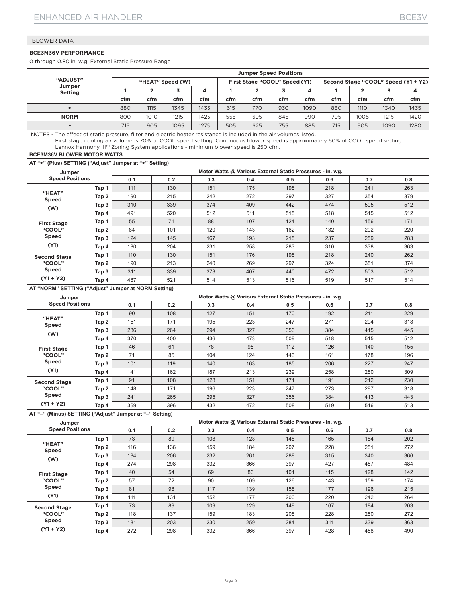#### **BCE3M36V PERFORMANCE**

0 through 0.80 in. w.g. External Static Pressure Range

| "ADJUST"<br>Jumper<br><b>Setting</b> |     | <b>Jumper Speed Positions</b> |                  |      |     |                               |     |      |     |                                     |      |      |  |
|--------------------------------------|-----|-------------------------------|------------------|------|-----|-------------------------------|-----|------|-----|-------------------------------------|------|------|--|
|                                      |     |                               | "HEAT" Speed (W) |      |     | First Stage "COOL" Speed (Y1) |     |      |     | Second Stage "COOL" Speed (Y1 + Y2) |      |      |  |
|                                      |     |                               |                  |      |     |                               |     | 4    |     |                                     |      |      |  |
|                                      | cfm | cfm                           | cfm              | cfm  | cfm | cfm                           | cfm | cfm  | cfm | cfm                                 | cfm  | cfm  |  |
|                                      | 880 | 1115                          | 1345             | 1435 | 615 | 770                           | 930 | 1090 | 880 | 1110                                | 1340 | 1435 |  |
| <b>NORM</b>                          | 800 | 1010                          | 1215             | 1425 | 555 | 695                           | 845 | 990  | 795 | 1005                                | 1215 | 1420 |  |
|                                      | 715 | 905                           | 1095             | 1275 | 505 | 625                           | 755 | 885  | 715 | 905                                 | 1090 | 1280 |  |

NOTES - The effect of static pressure, filter and electric heater resistance is included in the air volumes listed.

First stage cooling air volume is 70% of COOL speed setting. Continuous blower speed is approximately 50% of COOL speed setting. Lennox Harmony III™ Zoning System applications - minimum blower speed is 250 cfm.

#### **BCE3M36V BLOWER MOTOR WATTS**

**AT "+" (Plus) SETTING ("Adjust" Jumper at "+" Setting)**

|                        | Jumper |     |     |     | Motor Watts @ Various External Static Pressures - in. wg. |     |     |     |     |
|------------------------|--------|-----|-----|-----|-----------------------------------------------------------|-----|-----|-----|-----|
| <b>Speed Positions</b> |        | 0.1 | 0.2 | 0.3 | 0.4                                                       | 0.5 | 0.6 | 0.7 | 0.8 |
|                        | Tap 1  | 111 | 130 | 151 | 175                                                       | 198 | 218 | 241 | 263 |
| "HEAT"<br><b>Speed</b> | Tap 2  | 190 | 215 | 242 | 272                                                       | 297 | 327 | 354 | 379 |
| (W)                    | Tap 3  | 310 | 339 | 374 | 409                                                       | 442 | 474 | 505 | 512 |
|                        | Tap 4  | 491 | 520 | 512 | 511                                                       | 515 | 518 | 515 | 512 |
| <b>First Stage</b>     | Tap 1  | 55  | 71  | 88  | 107                                                       | 124 | 140 | 156 | 171 |
| "COOL"                 | Tap 2  | 84  | 101 | 120 | 143                                                       | 162 | 182 | 202 | 220 |
| <b>Speed</b>           | Tap 3  | 124 | 145 | 167 | 193                                                       | 215 | 237 | 259 | 283 |
| (Y1)                   | Tap 4  | 180 | 204 | 231 | 258                                                       | 283 | 310 | 338 | 363 |
| <b>Second Stage</b>    | Tap 1  | 110 | 130 | 151 | 176                                                       | 198 | 218 | 240 | 262 |
| "COOL"                 | Tap 2  | 190 | 213 | 240 | 269                                                       | 297 | 324 | 351 | 374 |
| <b>Speed</b>           | Tap 3  | 311 | 339 | 373 | 407                                                       | 440 | 472 | 503 | 512 |
| $(Y1 + Y2)$            | Tap 4  | 487 | 521 | 514 | 513                                                       | 516 | 519 | 517 | 514 |

#### **AT "NORM" SETTING ("Adjust" Jumper at NORM Setting)**

| Jumper                 |       |     |     | Motor Watts @ Various External Static Pressures - in. wg. |     |     |     |     |     |
|------------------------|-------|-----|-----|-----------------------------------------------------------|-----|-----|-----|-----|-----|
| <b>Speed Positions</b> |       | 0.1 | 0.2 | 0.3                                                       | 0.4 | 0.5 | 0.6 | 0.7 | 0.8 |
|                        | Tap 1 | 90  | 108 | 127                                                       | 151 | 170 | 192 | 211 | 229 |
| "HEAT"<br><b>Speed</b> | Tap 2 | 151 | 171 | 195                                                       | 223 | 247 | 271 | 294 | 318 |
| (W)                    | Tap 3 | 236 | 264 | 294                                                       | 327 | 356 | 384 | 415 | 445 |
|                        | Tap 4 | 370 | 400 | 436                                                       | 473 | 509 | 518 | 515 | 512 |
| <b>First Stage</b>     | Tap 1 | 46  | 61  | 78                                                        | 95  | 112 | 126 | 140 | 155 |
| "COOL"                 | Tap 2 | 71  | 85  | 104                                                       | 124 | 143 | 161 | 178 | 196 |
| <b>Speed</b>           | Tap 3 | 101 | 119 | 140                                                       | 163 | 185 | 206 | 227 | 247 |
| (Y1)                   | Tap 4 | 141 | 162 | 187                                                       | 213 | 239 | 258 | 280 | 309 |
| <b>Second Stage</b>    | Tap 1 | 91  | 108 | 128                                                       | 151 | 171 | 191 | 212 | 230 |
| "COOL"                 | Tap 2 | 148 | 171 | 196                                                       | 223 | 247 | 273 | 297 | 318 |
| <b>Speed</b>           | Tap 3 | 241 | 265 | 295                                                       | 327 | 356 | 384 | 413 | 443 |
| $(Y1 + Y2)$            | Tap 4 | 369 | 396 | 432                                                       | 472 | 508 | 519 | 516 | 513 |

| Jumper                 |       |     |     | Motor Watts @ Various External Static Pressures - in. wg. |     |     |     |     |     |
|------------------------|-------|-----|-----|-----------------------------------------------------------|-----|-----|-----|-----|-----|
| <b>Speed Positions</b> |       | 0.1 | 0.2 | 0.3                                                       | 0.4 | 0.5 | 0.6 | 0.7 | 0.8 |
|                        | Tap 1 | 73  | 89  | 108                                                       | 128 | 148 | 165 | 184 | 202 |
| "HEAT"<br><b>Speed</b> | Tap 2 | 116 | 136 | 159                                                       | 184 | 207 | 228 | 251 | 272 |
| (W)                    | Tap 3 | 184 | 206 | 232                                                       | 261 | 288 | 315 | 340 | 366 |
|                        | Tap 4 | 274 | 298 | 332                                                       | 366 | 397 | 427 | 457 | 484 |
| <b>First Stage</b>     | Tap 1 | 40  | 54  | 69                                                        | 86  | 101 | 115 | 128 | 142 |
| "COOL"                 | Tap 2 | 57  | 72  | 90                                                        | 109 | 126 | 143 | 159 | 174 |
| <b>Speed</b>           | Tap 3 | 81  | 98  | 117                                                       | 139 | 158 | 177 | 196 | 215 |
| (Y1)                   | Tap 4 | 111 | 131 | 152                                                       | 177 | 200 | 220 | 242 | 264 |
| <b>Second Stage</b>    | Tap 1 | 73  | 89  | 109                                                       | 129 | 149 | 167 | 184 | 203 |
| "COOL"                 | Tap 2 | 118 | 137 | 159                                                       | 183 | 208 | 228 | 250 | 272 |
| <b>Speed</b>           | Tap 3 | 181 | 203 | 230                                                       | 259 | 284 | 311 | 339 | 363 |
| $(Y1 + Y2)$            | Tap 4 | 272 | 298 | 332                                                       | 366 | 397 | 428 | 458 | 490 |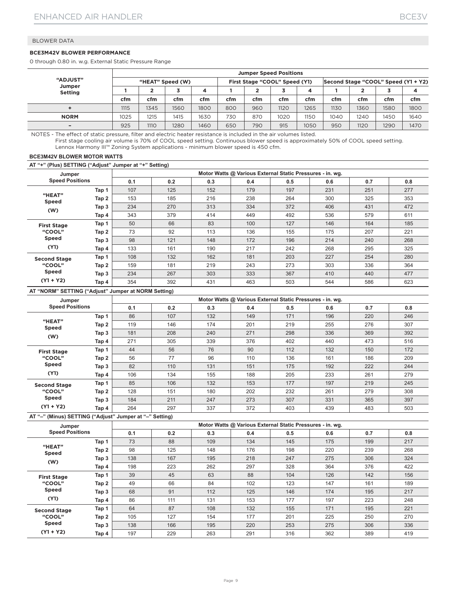#### **BCE3M42V BLOWER PERFORMANCE**

0 through 0.80 in. w.g. External Static Pressure Range

|                          |      | <b>Jumper Speed Positions</b> |                  |      |     |     |                               |      |      |                                     |      |      |  |
|--------------------------|------|-------------------------------|------------------|------|-----|-----|-------------------------------|------|------|-------------------------------------|------|------|--|
| <b>"ADJUST"</b>          |      |                               | "HEAT" Speed (W) |      |     |     | First Stage "COOL" Speed (Y1) |      |      | Second Stage "COOL" Speed (Y1 + Y2) |      |      |  |
| Jumper<br><b>Setting</b> |      |                               |                  | 4    |     |     |                               | 4    |      |                                     |      | 4    |  |
|                          | cfm  | cfm                           | cfm              | cfm  | cfm | cfm | cfm                           | cfm  | cfm  | cfm                                 | cfm  | cfm  |  |
|                          | 1115 | 1345                          | 1560             | 1800 | 800 | 960 | 1120                          | 1265 | 1130 | 1360                                | 1580 | 1800 |  |
| <b>NORM</b>              | 1025 | 1215                          | 1415             | 1630 | 730 | 870 | 1020                          | 1150 | 1040 | 1240                                | 1450 | 1640 |  |
|                          | 925  | <b>1110</b>                   | 1280             | 1460 | 650 | 790 | 915                           | 1050 | 950  | 1120                                | 1290 | 1470 |  |

NOTES - The effect of static pressure, filter and electric heater resistance is included in the air volumes listed. First stage cooling air volume is 70% of COOL speed setting. Continuous blower speed is approximately 50% of COOL speed setting. Lennox Harmony III™ Zoning System applications - minimum blower speed is 450 cfm.

#### **BCE3M42V BLOWER MOTOR WATTS**

**AT "+" (Plus) SETTING ("Adjust" Jumper at "+" Setting)**

| Jumper                 |       |     |     |     | Motor Watts @ Various External Static Pressures - in. wg. |     |     |     |     |
|------------------------|-------|-----|-----|-----|-----------------------------------------------------------|-----|-----|-----|-----|
| <b>Speed Positions</b> |       | 0.1 | 0.2 | 0.3 | 0.4                                                       | 0.5 | 0.6 | 0.7 | 0.8 |
|                        | Tap 1 | 107 | 125 | 152 | 179                                                       | 197 | 231 | 251 | 277 |
| "HEAT"<br><b>Speed</b> | Tap 2 | 153 | 185 | 216 | 238                                                       | 264 | 300 | 325 | 353 |
| (W)                    | Tap 3 | 234 | 270 | 313 | 334                                                       | 372 | 406 | 431 | 472 |
|                        | Tap 4 | 343 | 379 | 414 | 449                                                       | 492 | 536 | 579 | 611 |
| <b>First Stage</b>     | Tap 1 | 50  | 66  | 83  | 100                                                       | 127 | 146 | 164 | 185 |
| "COOL"                 | Tap 2 | 73  | 92  | 113 | 136                                                       | 155 | 175 | 207 | 221 |
| <b>Speed</b>           | Tap 3 | 98  | 121 | 148 | 172                                                       | 196 | 214 | 240 | 268 |
| (Y1)                   | Tap 4 | 133 | 161 | 190 | 217                                                       | 242 | 268 | 295 | 325 |
| <b>Second Stage</b>    | Tap 1 | 108 | 132 | 162 | 181                                                       | 203 | 227 | 254 | 280 |
| "COOL"                 | Tap 2 | 159 | 181 | 219 | 243                                                       | 273 | 303 | 336 | 364 |
| <b>Speed</b>           | Tap 3 | 234 | 267 | 303 | 333                                                       | 367 | 410 | 440 | 477 |
| $(Y1 + Y2)$            | Tap 4 | 354 | 392 | 431 | 463                                                       | 503 | 544 | 586 | 623 |

#### **AT "NORM" SETTING ("Adjust" Jumper at NORM Setting)**

| Jumper                 |       |     |     | Motor Watts @ Various External Static Pressures - in. wg. |     |     |     |     |     |
|------------------------|-------|-----|-----|-----------------------------------------------------------|-----|-----|-----|-----|-----|
| <b>Speed Positions</b> |       | 0.1 | 0.2 | 0.3                                                       | 0.4 | 0.5 | 0.6 | 0.7 | 0.8 |
|                        | Tap 1 | 86  | 107 | 132                                                       | 149 | 171 | 196 | 220 | 246 |
| "HEAT"<br><b>Speed</b> | Tap 2 | 119 | 146 | 174                                                       | 201 | 219 | 255 | 276 | 307 |
| (W)                    | Tap 3 | 181 | 208 | 240                                                       | 271 | 298 | 336 | 369 | 392 |
|                        | Tap 4 | 271 | 305 | 339                                                       | 376 | 402 | 440 | 473 | 516 |
| <b>First Stage</b>     | Tap 1 | 44  | 56  | 76                                                        | 90  | 112 | 132 | 150 | 172 |
| "COOL"                 | Tap 2 | 56  | 77  | 96                                                        | 110 | 136 | 161 | 186 | 209 |
| <b>Speed</b>           | Tap 3 | 82  | 110 | 131                                                       | 151 | 175 | 192 | 222 | 244 |
| (Y1)                   | Tap 4 | 106 | 134 | 155                                                       | 188 | 205 | 233 | 261 | 279 |
| <b>Second Stage</b>    | Tap 1 | 85  | 106 | 132                                                       | 153 | 177 | 197 | 219 | 245 |
| "COOL"                 | Tap 2 | 128 | 151 | 180                                                       | 202 | 232 | 261 | 279 | 308 |
| <b>Speed</b>           | Tap 3 | 184 | 211 | 247                                                       | 273 | 307 | 331 | 365 | 397 |
| $(Y1 + Y2)$            | Tap 4 | 264 | 297 | 337                                                       | 372 | 403 | 439 | 483 | 503 |

| Jumper                 |       |     |     |     | Motor Watts @ Various External Static Pressures - in. wg. |     |     |     |     |
|------------------------|-------|-----|-----|-----|-----------------------------------------------------------|-----|-----|-----|-----|
| <b>Speed Positions</b> |       | 0.1 | 0.2 | 0.3 | 0.4                                                       | 0.5 | 0.6 | 0.7 | 0.8 |
|                        | Tap 1 | 73  | 88  | 109 | 134                                                       | 145 | 175 | 199 | 217 |
| "HEAT"<br><b>Speed</b> | Tap 2 | 98  | 125 | 148 | 176                                                       | 198 | 220 | 239 | 268 |
| (W)                    | Tap 3 | 138 | 167 | 195 | 218                                                       | 247 | 275 | 306 | 324 |
|                        | Tap 4 | 198 | 223 | 262 | 297                                                       | 328 | 364 | 376 | 422 |
| <b>First Stage</b>     | Tap 1 | 39  | 45  | 63  | 88                                                        | 104 | 126 | 142 | 156 |
| "COOL"                 | Tap 2 | 49  | 66  | 84  | 102                                                       | 123 | 147 | 161 | 189 |
| <b>Speed</b>           | Tap 3 | 68  | 91  | 112 | 125                                                       | 146 | 174 | 195 | 217 |
| (Y1)                   | Tap 4 | 86  | 111 | 131 | 153                                                       | 177 | 197 | 223 | 248 |
| <b>Second Stage</b>    | Tap 1 | 64  | 87  | 108 | 132                                                       | 155 | 171 | 195 | 221 |
| "COOL"                 | Tap 2 | 105 | 127 | 154 | 177                                                       | 201 | 225 | 250 | 270 |
| Speed                  | Tap 3 | 138 | 166 | 195 | 220                                                       | 253 | 275 | 306 | 336 |
| $(Y1 + Y2)$            | Tap 4 | 197 | 229 | 263 | 291                                                       | 316 | 362 | 389 | 419 |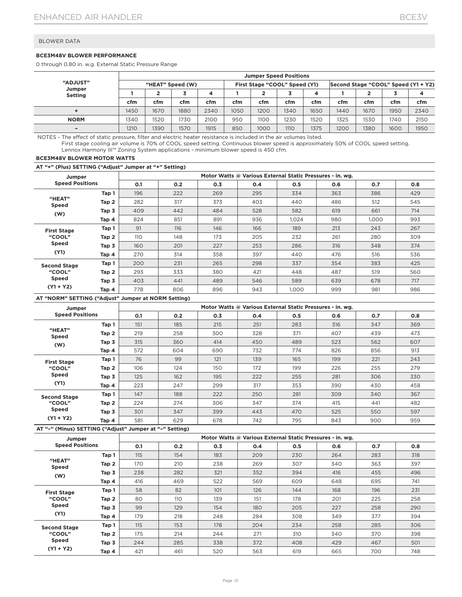#### **BCE3M48V BLOWER PERFORMANCE**

0 through 0.80 in. w.g. External Static Pressure Range

|                          | <b>Jumper Speed Positions</b> |      |      |      |                               |      |      |      |                                     |      |      |      |
|--------------------------|-------------------------------|------|------|------|-------------------------------|------|------|------|-------------------------------------|------|------|------|
| "ADJUST"                 | "HEAT" Speed (W)              |      |      |      | First Stage "COOL" Speed (Y1) |      |      |      | Second Stage "COOL" Speed (Y1 + Y2) |      |      |      |
| Jumper<br><b>Setting</b> |                               |      |      | 4    |                               |      |      | 4    |                                     |      |      |      |
|                          | cfm                           | cfm  | cfm  | cfm  | cfm                           | cfm  | cfm  | cfm  | cfm                                 | cfm  | cfm  | cfm  |
|                          | 1450                          | 1670 | 1880 | 2340 | 1050                          | 1200 | 1340 | 1650 | 1440                                | 1670 | 1950 | 2340 |
| <b>NORM</b>              | 1340                          | 1520 | 1730 | 2100 | 950                           | 1100 | 1230 | 1520 | 1325                                | 1530 | 740  | 2150 |
| $\overline{\phantom{0}}$ | 1210                          | 1390 | 1570 | 1915 | 850                           | 1000 | 1110 | 1375 | 1200                                | 1380 | 1600 | 1950 |

NOTES - The effect of static pressure, filter and electric heater resistance is included in the air volumes listed.

First stage cooling air volume is 70% of COOL speed setting. Continuous blower speed is approximately 50% of COOL speed setting. Lennox Harmony III™ Zoning System applications - minimum blower speed is 450 cfm.

#### **BCE3M48V BLOWER MOTOR WATTS**

#### **AT "+" (Plus) SETTING ("Adjust" Jumper at "+" Setting)**

| Jumper                 |       |     |     |     |     | Motor Watts @ Various External Static Pressures - in. wg. |     |       |     |
|------------------------|-------|-----|-----|-----|-----|-----------------------------------------------------------|-----|-------|-----|
| <b>Speed Positions</b> |       | 0.1 | 0.2 | O.3 | 0.4 | 0.5                                                       | 0.6 | O.7   | 0.8 |
|                        | Tap 1 | 196 | 222 | 269 | 295 | 334                                                       | 363 | 386   | 429 |
| "HEAT"<br><b>Speed</b> | Tap 2 | 282 | 317 | 373 | 403 | 440                                                       | 486 | 512   | 545 |
| (W)                    | Tap 3 | 409 | 442 | 484 | 528 | 582                                                       | 619 | 661   | 714 |
|                        | Tap 4 | 824 | 851 | 891 | 936 | 1,024                                                     | 980 | 1.000 | 993 |
| <b>First Stage</b>     | Tap 1 | 91  | 116 | 146 | 166 | 189                                                       | 213 | 243   | 267 |
| "COOL"                 | Tap 2 | 110 | 148 | 173 | 205 | 232                                                       | 261 | 280   | 309 |
| <b>Speed</b>           | Tap 3 | 160 | 201 | 227 | 253 | 286                                                       | 316 | 348   | 374 |
| (Y1)                   | Tap 4 | 270 | 314 | 358 | 397 | 440                                                       | 476 | 516   | 536 |
| <b>Second Stage</b>    | Tap 1 | 200 | 231 | 265 | 298 | 337                                                       | 354 | 383   | 425 |
| "COOL"                 | Tap 2 | 293 | 333 | 380 | 421 | 448                                                       | 487 | 519   | 560 |
| <b>Speed</b>           | Tap 3 | 403 | 441 | 489 | 546 | 589                                                       | 639 | 678   | 717 |
| $(Y1 + Y2)$            | Tap 4 | 778 | 806 | 896 | 943 | 1.000                                                     | 999 | 981   | 986 |

**AT "NORM" SETTING ("Adjust" Jumper at NORM Setting)**

| Jumper                 |       |     |     |     |     | Motor Watts @ Various External Static Pressures - in. wg. |     |     |     |
|------------------------|-------|-----|-----|-----|-----|-----------------------------------------------------------|-----|-----|-----|
| <b>Speed Positions</b> |       | 0.1 | 0.2 | 0.3 | 0.4 | 0.5                                                       | 0.6 | 0.7 | 0.8 |
|                        | Tap 1 | 151 | 185 | 215 | 251 | 283                                                       | 316 | 347 | 369 |
| "HEAT"<br><b>Speed</b> | Tap 2 | 219 | 258 | 300 | 328 | 371                                                       | 407 | 439 | 473 |
| (W)                    | Tap 3 | 315 | 360 | 414 | 450 | 489                                                       | 523 | 562 | 607 |
|                        | Tap 4 | 572 | 604 | 690 | 732 | 774                                                       | 826 | 856 | 913 |
| <b>First Stage</b>     | Tap 1 | 76  | 99  | 121 | 139 | 165                                                       | 199 | 221 | 243 |
| "COOL"                 | Tap 2 | 106 | 124 | 150 | 172 | 199                                                       | 226 | 255 | 279 |
| <b>Speed</b>           | Tap 3 | 125 | 162 | 195 | 222 | 255                                                       | 281 | 306 | 330 |
| (Y1)                   | Tap 4 | 223 | 247 | 299 | 317 | 353                                                       | 390 | 430 | 458 |
| <b>Second Stage</b>    | Tap 1 | 147 | 188 | 222 | 250 | 281                                                       | 309 | 340 | 367 |
| "COOL"                 | Tap 2 | 224 | 274 | 306 | 347 | 374                                                       | 415 | 441 | 482 |
| <b>Speed</b>           | Tap 3 | 301 | 347 | 399 | 443 | 470                                                       | 525 | 550 | 597 |
| $(Y1 + Y2)$            | Tap 4 | 581 | 629 | 678 | 742 | 795                                                       | 843 | 900 | 959 |

| Jumper                 |       |     |     |     | Motor Watts @ Various External Static Pressures - in. wg. |     |     |     |     |
|------------------------|-------|-----|-----|-----|-----------------------------------------------------------|-----|-----|-----|-----|
| <b>Speed Positions</b> |       | 0.1 | 0.2 | 0.3 | 0.4                                                       | 0.5 | 0.6 | 0.7 | 0.8 |
|                        | Tap 1 | 115 | 154 | 183 | 209                                                       | 230 | 264 | 283 | 318 |
| "HEAT"<br><b>Speed</b> | Tap 2 | 170 | 210 | 238 | 269                                                       | 307 | 340 | 363 | 397 |
| (W)                    | Tap 3 | 238 | 282 | 321 | 352                                                       | 394 | 416 | 455 | 496 |
|                        | Tap 4 | 416 | 469 | 522 | 569                                                       | 609 | 648 | 695 | 741 |
| <b>First Stage</b>     | Tap 1 | 58  | 82  | 101 | 126                                                       | 144 | 168 | 196 | 231 |
| "COOL"                 | Tap 2 | 80  | 110 | 139 | 151                                                       | 178 | 201 | 225 | 258 |
| <b>Speed</b>           | Tap 3 | 99  | 129 | 154 | 180                                                       | 205 | 227 | 258 | 290 |
| (Y1)                   | Tap 4 | 179 | 218 | 248 | 284                                                       | 308 | 349 | 377 | 394 |
| <b>Second Stage</b>    | Tap 1 | 115 | 153 | 178 | 204                                                       | 234 | 258 | 285 | 306 |
| "COOL"                 | Tap 2 | 175 | 214 | 244 | 271                                                       | 310 | 340 | 370 | 398 |
| <b>Speed</b>           | Tap 3 | 244 | 285 | 338 | 372                                                       | 408 | 429 | 467 | 501 |
| $(Y1 + Y2)$            | Tap 4 | 421 | 461 | 520 | 563                                                       | 619 | 665 | 700 | 748 |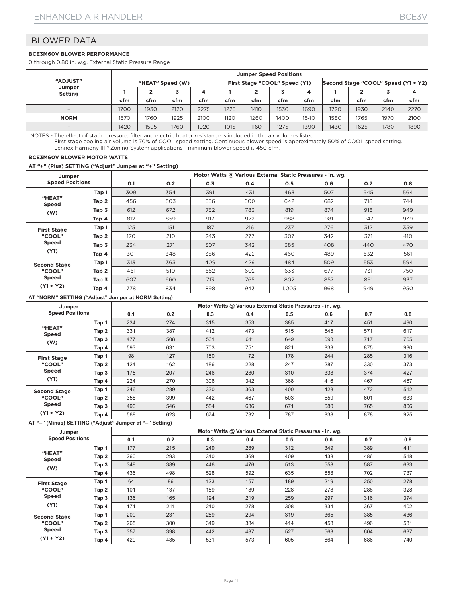#### **BCE3M60V BLOWER PERFORMANCE**

0 through 0.80 in. w.g. External Static Pressure Range

|                          | <b>Jumper Speed Positions</b> |      |      |      |      |                               |      |      |      |                                     |      |      |  |
|--------------------------|-------------------------------|------|------|------|------|-------------------------------|------|------|------|-------------------------------------|------|------|--|
| <b>"ADJUST"</b>          | "HEAT" Speed (W)              |      |      |      |      | First Stage "COOL" Speed (Y1) |      |      |      | Second Stage "COOL" Speed (Y1 + Y2) |      |      |  |
| Jumper<br><b>Setting</b> |                               |      |      |      |      |                               |      | 4    |      |                                     |      |      |  |
|                          | cfm                           | cfm  | cfm  | cfm  | cfm  | cfm                           | cfm  | cfm  | cfm  | cfm                                 | cfm  | cfm  |  |
|                          | 1700                          | 1930 | 2120 | 2275 | 1225 | 1410                          | 1530 | 1690 | 1720 | 1930                                | 2140 | 2270 |  |
| <b>NORM</b>              | 1570                          | 1760 | 1925 | 2100 | 1120 | 1260                          | 1400 | 1540 | 1580 | 1765                                | 1970 | 2100 |  |
|                          | 1420                          | 1595 | 1760 | 1920 | 1015 | 1160                          | 1275 | 1390 | 1430 | 1625                                | 1780 | 1890 |  |

NOTES - The effect of static pressure, filter and electric heater resistance is included in the air volumes listed. First stage cooling air volume is 70% of COOL speed setting. Continuous blower speed is approximately 50% of COOL speed setting. Lennox Harmony III™ Zoning System applications - minimum blower speed is 450 cfm.

#### **BCE3M60V BLOWER MOTOR WATTS**

**AT "+" (Plus) SETTING ("Adjust" Jumper at "+" Setting)**

| Jumper                 |       |     |     |     |     | Motor Watts @ Various External Static Pressures - in. wg. |     |     |     |
|------------------------|-------|-----|-----|-----|-----|-----------------------------------------------------------|-----|-----|-----|
| <b>Speed Positions</b> |       | O.1 | 0.2 | 0.3 | 0.4 | 0.5                                                       | 0.6 | 0.7 | 0.8 |
|                        | Tap 1 | 309 | 354 | 391 | 431 | 463                                                       | 507 | 545 | 564 |
| "HEAT"<br><b>Speed</b> | Tap 2 | 456 | 503 | 556 | 600 | 642                                                       | 682 | 718 | 744 |
| (W)                    | Tap 3 | 612 | 672 | 732 | 783 | 819                                                       | 874 | 918 | 949 |
|                        | Tap 4 | 812 | 859 | 917 | 972 | 988                                                       | 981 | 947 | 939 |
| <b>First Stage</b>     | Tap 1 | 125 | 151 | 187 | 216 | 237                                                       | 276 | 312 | 359 |
| "COOL"                 | Tap 2 | 170 | 210 | 243 | 277 | 307                                                       | 342 | 371 | 410 |
| <b>Speed</b>           | Tap 3 | 234 | 271 | 307 | 342 | 385                                                       | 408 | 440 | 470 |
| (Y1)                   | Tap 4 | 301 | 348 | 386 | 422 | 460                                                       | 489 | 532 | 561 |
| <b>Second Stage</b>    | Tap 1 | 313 | 363 | 409 | 429 | 484                                                       | 509 | 553 | 594 |
| "COOL"                 | Tap 2 | 461 | 510 | 552 | 602 | 633                                                       | 677 | 731 | 750 |
| <b>Speed</b>           | Tap 3 | 607 | 660 | 713 | 765 | 802                                                       | 857 | 891 | 937 |
| $(Y1 + Y2)$            | Tap 4 | 778 | 834 | 898 | 943 | 1.005                                                     | 968 | 949 | 950 |

#### **AT "NORM" SETTING ("Adjust" Jumper at NORM Setting)**

| Jumper                 |       | Motor Watts @ Various External Static Pressures - in. wg. |     |     |     |     |     |     |     |  |  |  |  |
|------------------------|-------|-----------------------------------------------------------|-----|-----|-----|-----|-----|-----|-----|--|--|--|--|
| <b>Speed Positions</b> |       | 0.1                                                       | 0.2 | 0.3 | 0.4 | 0.5 | 0.6 | 0.7 | 0.8 |  |  |  |  |
|                        | Tap 1 | 234                                                       | 274 | 315 | 353 | 385 | 417 | 451 | 490 |  |  |  |  |
| "HEAT"<br><b>Speed</b> | Tap 2 | 331                                                       | 387 | 412 | 473 | 515 | 545 | 571 | 617 |  |  |  |  |
| (W)                    | Tap 3 | 477                                                       | 508 | 561 | 611 | 649 | 693 | 717 | 765 |  |  |  |  |
|                        | Tap 4 | 593                                                       | 631 | 703 | 751 | 821 | 833 | 875 | 930 |  |  |  |  |
| <b>First Stage</b>     | Tap 1 | 98                                                        | 127 | 150 | 172 | 178 | 244 | 285 | 316 |  |  |  |  |
| "COOL"                 | Tap 2 | 124                                                       | 162 | 186 | 228 | 247 | 287 | 330 | 373 |  |  |  |  |
| <b>Speed</b>           | Tap 3 | 175                                                       | 207 | 246 | 280 | 310 | 338 | 374 | 427 |  |  |  |  |
| (Y1)                   | Tap 4 | 224                                                       | 270 | 306 | 342 | 368 | 416 | 467 | 467 |  |  |  |  |
| <b>Second Stage</b>    | Tap 1 | 246                                                       | 289 | 330 | 363 | 400 | 428 | 472 | 512 |  |  |  |  |
| "COOL"                 | Tap 2 | 358                                                       | 399 | 442 | 467 | 503 | 559 | 601 | 633 |  |  |  |  |
| <b>Speed</b>           | Tap 3 | 490                                                       | 546 | 584 | 636 | 671 | 680 | 765 | 806 |  |  |  |  |
| $(Y1 + Y2)$            | Tap 4 | 568                                                       | 623 | 674 | 732 | 787 | 838 | 878 | 925 |  |  |  |  |

| Jumper                 |       |     |     |     | Motor Watts @ Various External Static Pressures - in. wg. |     |     |     |     |
|------------------------|-------|-----|-----|-----|-----------------------------------------------------------|-----|-----|-----|-----|
| <b>Speed Positions</b> |       | 0.1 | 0.2 | 0.3 | 0.4                                                       | 0.5 | 0.6 | 0.7 | 0.8 |
|                        | Tap 1 | 177 | 215 | 249 | 289                                                       | 312 | 349 | 389 | 411 |
| "HEAT"<br><b>Speed</b> | Tap 2 | 260 | 293 | 340 | 369                                                       | 409 | 438 | 486 | 518 |
| (W)                    | Tap 3 | 349 | 389 | 446 | 476                                                       | 513 | 558 | 587 | 633 |
|                        | Tap 4 | 436 | 498 | 528 | 592                                                       | 635 | 658 | 702 | 737 |
| <b>First Stage</b>     | Tap 1 | 64  | 86  | 123 | 157                                                       | 189 | 219 | 250 | 278 |
| "COOL"                 | Tap 2 | 101 | 137 | 159 | 189                                                       | 228 | 278 | 288 | 328 |
| <b>Speed</b>           | Tap 3 | 136 | 165 | 194 | 219                                                       | 259 | 297 | 316 | 374 |
| (Y1)                   | Tap 4 | 171 | 211 | 240 | 278                                                       | 308 | 334 | 367 | 402 |
| <b>Second Stage</b>    | Tap 1 | 200 | 231 | 259 | 294                                                       | 319 | 365 | 385 | 436 |
| "COOL"<br><b>Speed</b> | Tap 2 | 265 | 300 | 349 | 384                                                       | 414 | 458 | 496 | 531 |
|                        | Tap 3 | 357 | 398 | 442 | 487                                                       | 527 | 563 | 604 | 637 |
| $(Y1 + Y2)$            | Tap 4 | 429 | 485 | 531 | 573                                                       | 605 | 664 | 686 | 740 |